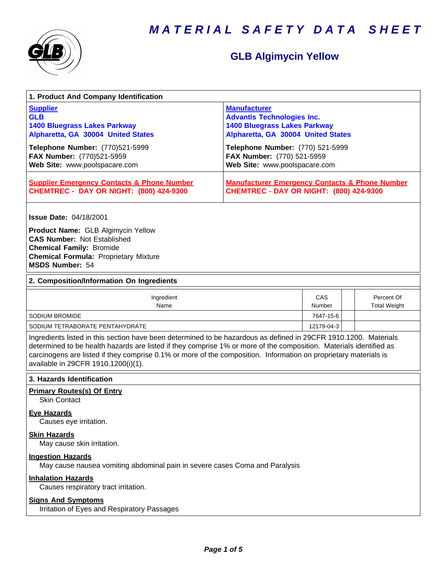



# **GLB Algimycin Yellow**

| 1. Product And Company Identification                                                                                                                                                                                                                                                                                                                                                             |                                                                                                                                                                           |                      |  |                                   |
|---------------------------------------------------------------------------------------------------------------------------------------------------------------------------------------------------------------------------------------------------------------------------------------------------------------------------------------------------------------------------------------------------|---------------------------------------------------------------------------------------------------------------------------------------------------------------------------|----------------------|--|-----------------------------------|
| <b>Supplier</b><br><b>GLB</b><br><b>1400 Bluegrass Lakes Parkway</b><br>Alpharetta, GA 30004 United States<br>Telephone Number: (770)521-5999                                                                                                                                                                                                                                                     | <b>Manufacturer</b><br><b>Advantis Technologies Inc.</b><br><b>1400 Bluegrass Lakes Parkway</b><br>Alpharetta, GA 30004 United States<br>Telephone Number: (770) 521-5999 |                      |  |                                   |
| FAX Number: (770)521-5959<br>Web Site: www.poolspacare.com                                                                                                                                                                                                                                                                                                                                        | FAX Number: (770) 521-5959<br>Web Site: www.poolspacare.com                                                                                                               |                      |  |                                   |
| <b>Supplier Emergency Contacts &amp; Phone Number</b><br><b>CHEMTREC - DAY OR NIGHT: (800) 424-9300</b>                                                                                                                                                                                                                                                                                           | <b>Manufacturer Emergency Contacts &amp; Phone Number</b><br><b>CHEMTREC - DAY OR NIGHT: (800) 424-9300</b>                                                               |                      |  |                                   |
| <b>Issue Date: 04/18/2001</b>                                                                                                                                                                                                                                                                                                                                                                     |                                                                                                                                                                           |                      |  |                                   |
| Product Name: GLB Algimycin Yellow<br><b>CAS Number: Not Established</b><br><b>Chemical Family: Bromide</b><br><b>Chemical Formula: Proprietary Mixture</b><br>MSDS Number: 54                                                                                                                                                                                                                    |                                                                                                                                                                           |                      |  |                                   |
| 2. Composition/Information On Ingredients                                                                                                                                                                                                                                                                                                                                                         |                                                                                                                                                                           |                      |  |                                   |
| Ingredient<br>Name                                                                                                                                                                                                                                                                                                                                                                                |                                                                                                                                                                           | CAS<br><b>Number</b> |  | Percent Of<br><b>Total Weight</b> |
| <b>SODIUM BROMIDE</b>                                                                                                                                                                                                                                                                                                                                                                             |                                                                                                                                                                           | 7647-15-6            |  |                                   |
| SODIUM TETRABORATE PENTAHYDRATE                                                                                                                                                                                                                                                                                                                                                                   |                                                                                                                                                                           | 12179-04-3           |  |                                   |
| Ingredients listed in this section have been determined to be hazardous as defined in 29CFR 1910.1200. Materials<br>determined to be health hazards are listed if they comprise 1% or more of the composition. Materials identified as<br>carcinogens are listed if they comprise 0.1% or more of the composition. Information on proprietary materials is<br>available in 29CFR 1910.1200(i)(1). |                                                                                                                                                                           |                      |  |                                   |
| 3. Hazards Identification                                                                                                                                                                                                                                                                                                                                                                         |                                                                                                                                                                           |                      |  |                                   |
| <b>Primary Routes(s) Of Entry</b><br><b>Skin Contact</b>                                                                                                                                                                                                                                                                                                                                          |                                                                                                                                                                           |                      |  |                                   |
| <b>Eye Hazards</b><br>Causes eye irritation.                                                                                                                                                                                                                                                                                                                                                      |                                                                                                                                                                           |                      |  |                                   |
| <b>Skin Hazards</b><br>May cause skin irritation.                                                                                                                                                                                                                                                                                                                                                 |                                                                                                                                                                           |                      |  |                                   |
| <b>Ingestion Hazards</b><br>May cause nausea vomiting abdominal pain in severe cases Coma and Paralysis                                                                                                                                                                                                                                                                                           |                                                                                                                                                                           |                      |  |                                   |
| <b>Inhalation Hazards</b><br>Causes respiratory tract irritation.                                                                                                                                                                                                                                                                                                                                 |                                                                                                                                                                           |                      |  |                                   |
| <b>Signs And Symptoms</b><br>Irritation of Eyes and Respiratory Passages                                                                                                                                                                                                                                                                                                                          |                                                                                                                                                                           |                      |  |                                   |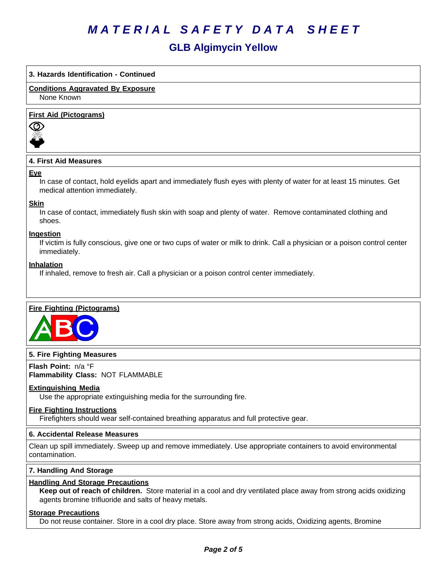# **GLB Algimycin Yellow**

## **3. Hazards Identification - Continued**

**Conditions Aggravated By Exposure** None Known

#### **First Aid (Pictograms)**



## **4. First Aid Measures**

#### **Eye**

In case of contact, hold eyelids apart and immediately flush eyes with plenty of water for at least 15 minutes. Get medical attention immediately.

#### **Skin**

In case of contact, immediately flush skin with soap and plenty of water. Remove contaminated clothing and shoes.

#### **Ingestion**

If victim is fully conscious, give one or two cups of water or milk to drink. Call a physician or a poison control center immediately.

#### **Inhalation**

If inhaled, remove to fresh air. Call a physician or a poison control center immediately.

### **Fire Fighting (Pictograms)**



### **5. Fire Fighting Measures**

**Flash Point:** n/a°F **Flammability Class:** NOT FLAMMABLE

### **Extinguishing Media**

Use the appropriate extinguishing media for the surrounding fire.

#### **Fire Fighting Instructions**

Firefighters should wear self-contained breathing apparatus and full protective gear.

#### **6.Accidental ReleaseMeasures**

Clean up spill immediately. Sweep up and remove immediately. Use appropriate containers to avoid environmental contamination.

## **7. Handling And Storage**

### **Handling And Storage Precautions**

**Keep out of reach of children.** Store material in a cool and dry ventilated place away from strong acids oxidizing agents bromine trifluoride and salts of heavy metals.

#### **Storage Precautions**

Do not reuse container. Store in a cool dry place. Store away from strong acids, Oxidizing agents, Bromine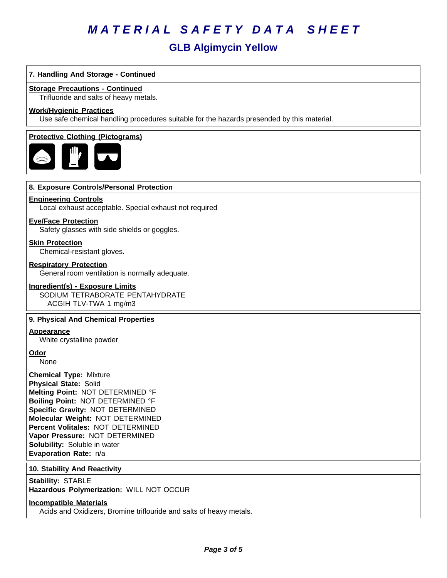# **GLB Algimycin Yellow**

## **7. Handling And Storage - Continued**

#### **Storage Precautions - Continued**

Trifluoride and salts of heavy metals.

#### **Work/Hygienic Practices**

Use safe chemical handling procedures suitable for the hazards presended by this material.

#### **Protective Clothing (Pictograms)**



#### **8. Exposure Controls/Personal Protection**

#### **Engineering Controls**

Local exhaust acceptable. Special exhaust not required

#### **Eye/Face Protection**

Safety glasses with side shields or goggles.

**Skin Protection**

Chemical-resistant gloves.

#### **Respiratory Protection**

General room ventilation is normally adequate.

#### **Ingredient(s) - Exposure Limits**

SODIUM TETRABORATE PENTAHYDRATE ACGIH TLV-TWA 1 mg/m3

#### **9. Physical And Chemical Properties**

### **Appearance**

White crystalline powder

**Odor**

None

**Chemical Type:** Mixture **Physical State:** Solid **Melting Point:** NOT DETERMINED °F **Boiling Point:** NOT DETERMINED °F **Specific Gravity:** NOT DETERMINED **Molecular Weight:** NOT DETERMINED **Percent Volitales:** NOT DETERMINED **Vapor Pressure:** NOT DETERMINED **Solubility:** Soluble in water **Evaporation Rate:** n/a

#### **10. Stability And Reactivity**

**Stability: STABLE** 

**Hazardous Polymerization:** WILL NOT OCCUR

### **Incompatible Materials**

Acids and Oxidizers, Bromine triflouride and salts of heavy metals.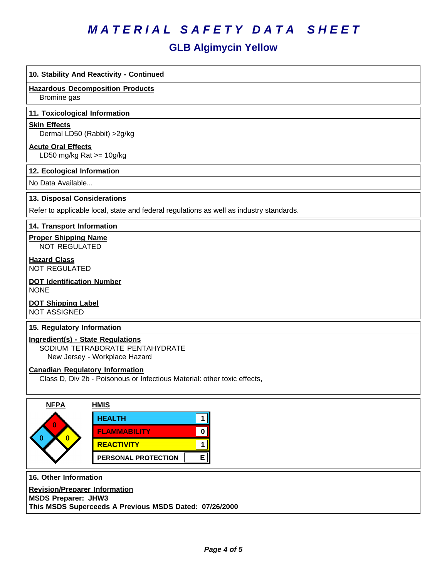# **GLB Algimycin Yellow**

# **10. Stability And Reactivity - Continued**

**Hazardous Decomposition Products**

Bromine gas

#### **11. Toxicological Information**

#### **Skin Effects**

Dermal LD50 (Rabbit) >2g/kg

### **Acute Oral Effects**

LD50 mg/kg Rat >= 10g/kg

### **12. Ecological Information**

No Data Available...

### **13. Disposal Considerations**

Refer to applicable local, state and federal regulations as well as industry standards.

### **14. Transport Information**

**Proper Shipping Name**

NOT REGULATED

**Hazard Class** NOT REGULATED

#### **DOT Identification Number** NONE

**DOT Shipping Label** NOT ASSIGNED

### **15. Regulatory Information**

**Ingredient(s) - State Regulations**

SODIUM TETRABORATE PENTAHYDRATE

New Jersey - Workplace Hazard

### **Canadian Regulatory Information**

Class D, Div 2b - Poisonous or Infectious Material: other toxic effects,



**16. Other Information**

**Revision/Preparer Information**

**MSDS Preparer: JHW3**

**This MSDS Superceeds A Previous MSDS Dated: 07/26/2000**